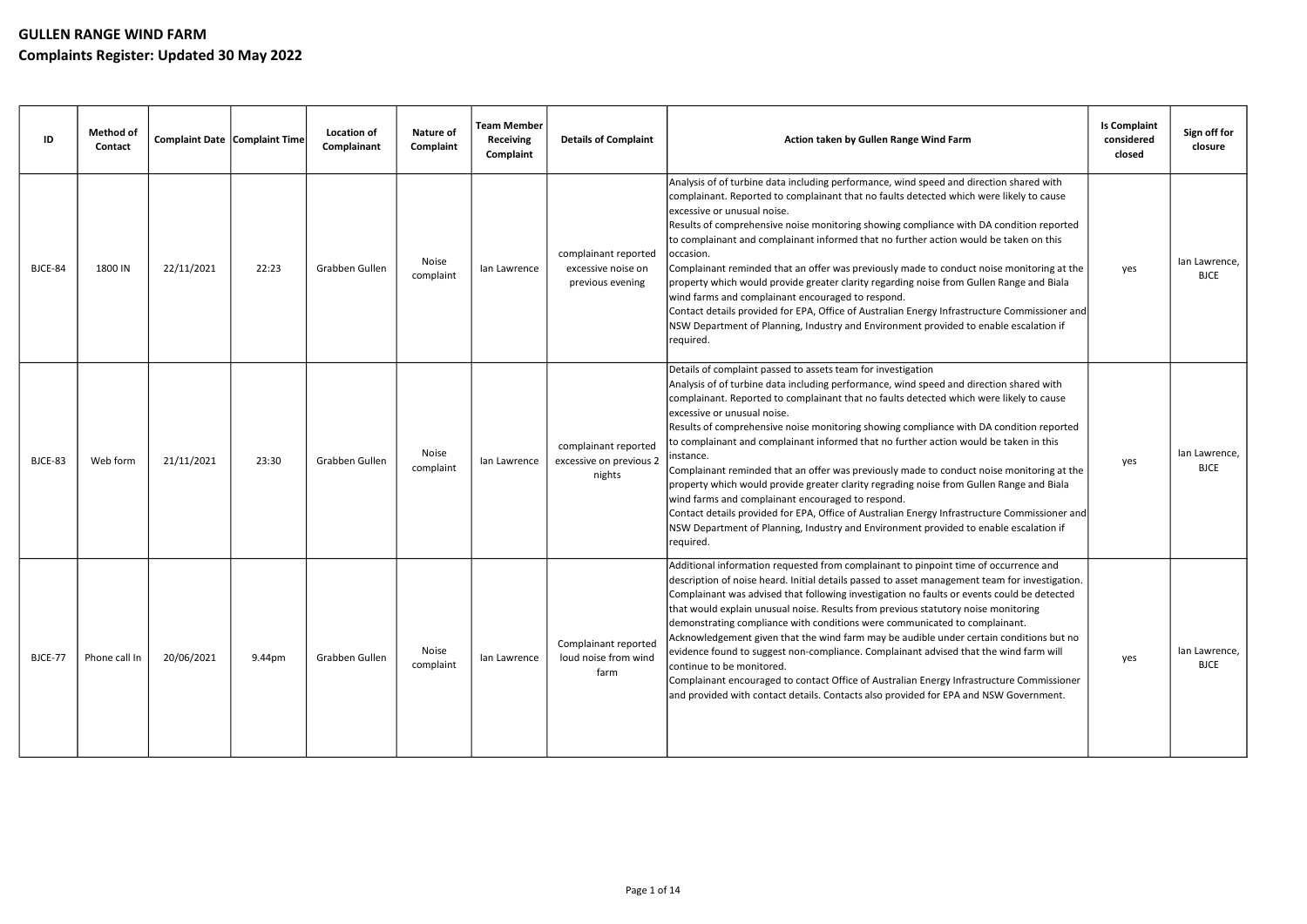| ID      | <b>Method of</b><br>Contact |            | <b>Complaint Date Complaint Time</b> | <b>Location of</b><br>Complainant | <b>Nature of</b><br>Complaint | <b>Team Member</b><br><b>Receiving</b><br>Complaint | <b>Details of Complaint</b>                                    | Action taken by Gullen Range Wind Farm                                                                                                                                                                                                                                                                                                                                                                                                                                                                                                                                                                                                                                                                                                                                                                                                                                                                                                  | <b>Is Complaint</b><br>considered<br>closed | Sign off for<br>closure      |
|---------|-----------------------------|------------|--------------------------------------|-----------------------------------|-------------------------------|-----------------------------------------------------|----------------------------------------------------------------|-----------------------------------------------------------------------------------------------------------------------------------------------------------------------------------------------------------------------------------------------------------------------------------------------------------------------------------------------------------------------------------------------------------------------------------------------------------------------------------------------------------------------------------------------------------------------------------------------------------------------------------------------------------------------------------------------------------------------------------------------------------------------------------------------------------------------------------------------------------------------------------------------------------------------------------------|---------------------------------------------|------------------------------|
| BJCE-84 | 1800 IN                     | 22/11/2021 | 22:23                                | Grabben Gullen                    | Noise<br>complaint            | lan Lawrence                                        | complainant reported<br>excessive noise on<br>previous evening | Analysis of of turbine data including performance, wind speed and direction shared with<br>complainant. Reported to complainant that no faults detected which were likely to cause<br>excessive or unusual noise.<br>Results of comprehensive noise monitoring showing compliance with DA condition reported<br>to complainant and complainant informed that no further action would be taken on this<br>occasion.<br>Complainant reminded that an offer was previously made to conduct noise monitoring at the<br>property which would provide greater clarity regarding noise from Gullen Range and Biala<br>wind farms and complainant encouraged to respond.<br>Contact details provided for EPA, Office of Australian Energy Infrastructure Commissioner and<br>NSW Department of Planning, Industry and Environment provided to enable escalation if<br>required.                                                                 | yes                                         | lan Lawrence,<br><b>BJCE</b> |
| BJCE-83 | Web form                    | 21/11/2021 | 23:30                                | Grabben Gullen                    | Noise<br>complaint            | lan Lawrence                                        | complainant reported<br>excessive on previous 2<br>nights      | Details of complaint passed to assets team for investigation<br>Analysis of of turbine data including performance, wind speed and direction shared with<br>complainant. Reported to complainant that no faults detected which were likely to cause<br>excessive or unusual noise.<br>Results of comprehensive noise monitoring showing compliance with DA condition reported<br>to complainant and complainant informed that no further action would be taken in this<br>instance.<br>Complainant reminded that an offer was previously made to conduct noise monitoring at the<br>property which would provide greater clarity regrading noise from Gullen Range and Biala<br>wind farms and complainant encouraged to respond.<br>Contact details provided for EPA, Office of Australian Energy Infrastructure Commissioner and<br>NSW Department of Planning, Industry and Environment provided to enable escalation if<br>required. | yes                                         | lan Lawrence,<br><b>BJCE</b> |
| BJCE-77 | Phone call In               | 20/06/2021 | 9.44pm                               | Grabben Gullen                    | Noise<br>complaint            | lan Lawrence                                        | Complainant reported<br>loud noise from wind<br>farm           | Additional information requested from complainant to pinpoint time of occurrence and<br>description of noise heard. Initial details passed to asset management team for investigation.<br>Complainant was advised that following investigation no faults or events could be detected<br>that would explain unusual noise. Results from previous statutory noise monitoring<br>demonstrating compliance with conditions were communicated to complainant.<br>Acknowledgement given that the wind farm may be audible under certain conditions but no<br>evidence found to suggest non-compliance. Complainant advised that the wind farm will<br>continue to be monitored.<br>Complainant encouraged to contact Office of Australian Energy Infrastructure Commissioner<br>and provided with contact details. Contacts also provided for EPA and NSW Government.                                                                         | yes                                         | lan Lawrence,<br><b>BJCE</b> |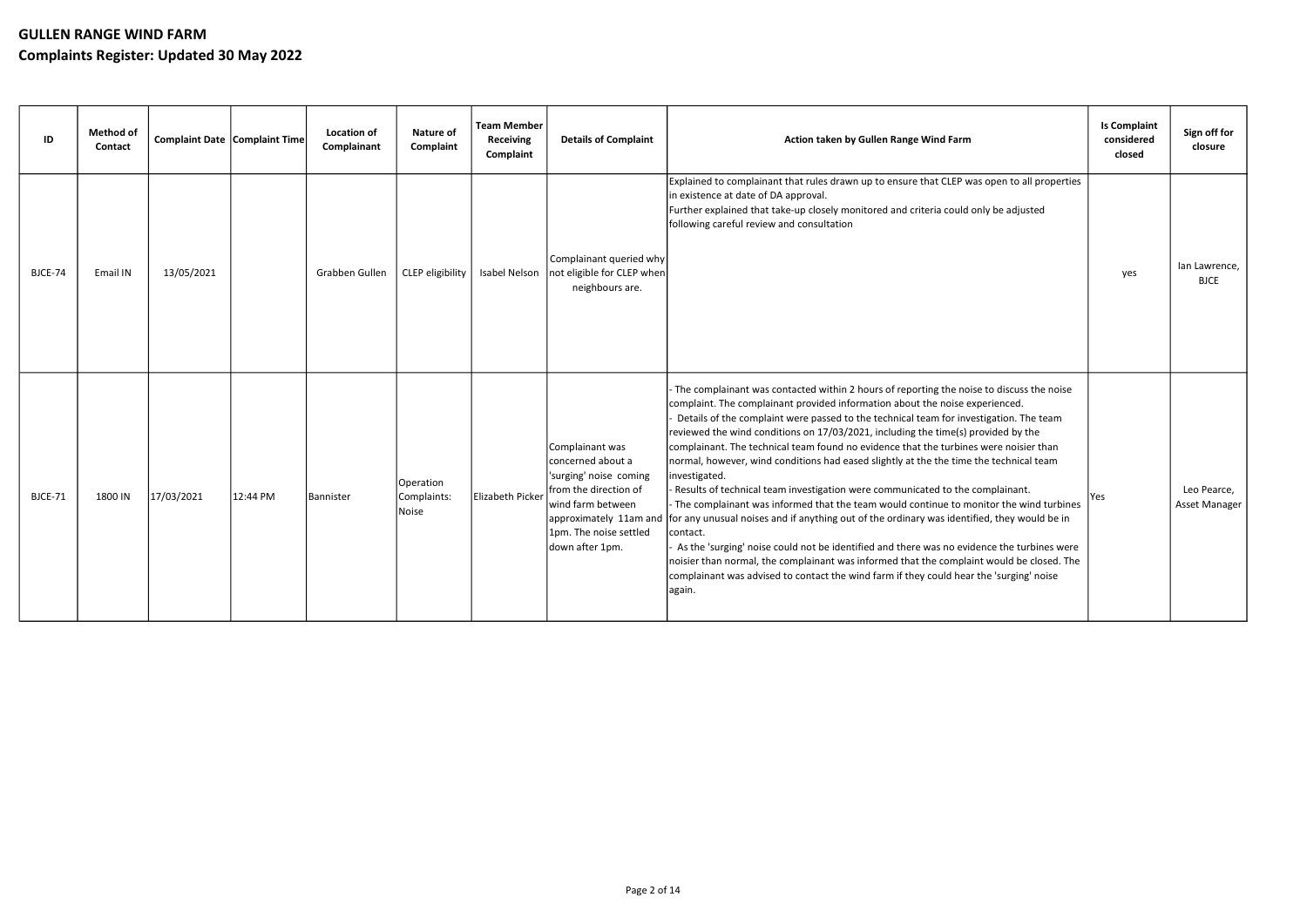| ID      | <b>Method of</b><br>Contact | Complaint Date Complaint Time |          | <b>Location of</b><br>Complainant | <b>Nature of</b><br>Complaint     | <b>Team Member</b><br><b>Receiving</b><br>Complaint | <b>Details of Complaint</b>                                                                                                                                                         | Action taken by Gullen Range Wind Farm                                                                                                                                                                                                                                                                                                                                                                                                                                                                                                                                                                                                                                                                                                                                                                                                                                                                                                                                                                                                                                                                                                              | <b>Is Complaint</b><br>considered<br>closed | Sign off for<br>closure      |
|---------|-----------------------------|-------------------------------|----------|-----------------------------------|-----------------------------------|-----------------------------------------------------|-------------------------------------------------------------------------------------------------------------------------------------------------------------------------------------|-----------------------------------------------------------------------------------------------------------------------------------------------------------------------------------------------------------------------------------------------------------------------------------------------------------------------------------------------------------------------------------------------------------------------------------------------------------------------------------------------------------------------------------------------------------------------------------------------------------------------------------------------------------------------------------------------------------------------------------------------------------------------------------------------------------------------------------------------------------------------------------------------------------------------------------------------------------------------------------------------------------------------------------------------------------------------------------------------------------------------------------------------------|---------------------------------------------|------------------------------|
| BJCE-74 | Email IN                    | 13/05/2021                    |          | Grabben Gullen                    | CLEP eligibility                  | Isabel Nelson                                       | Complainant queried why<br>not eligible for CLEP when<br>neighbours are.                                                                                                            | Explained to complainant that rules drawn up to ensure that CLEP was open to all properties<br>in existence at date of DA approval.<br>Further explained that take-up closely monitored and criteria could only be adjusted<br>following careful review and consultation                                                                                                                                                                                                                                                                                                                                                                                                                                                                                                                                                                                                                                                                                                                                                                                                                                                                            | yes                                         | lan Lawrence,<br><b>BJCE</b> |
| BJCE-71 | 1800 IN                     | 17/03/2021                    | 12:44 PM | Bannister                         | Operation<br>Complaints:<br>Noise | Elizabeth Picker                                    | Complainant was<br>concerned about a<br>'surging' noise coming<br>from the direction of<br>wind farm between<br>approximately 11am and<br>1pm. The noise settled<br>down after 1pm. | The complainant was contacted within 2 hours of reporting the noise to discuss the noise<br>complaint. The complainant provided information about the noise experienced.<br>Details of the complaint were passed to the technical team for investigation. The team<br>reviewed the wind conditions on 17/03/2021, including the time(s) provided by the<br>complainant. The technical team found no evidence that the turbines were noisier than<br>normal, however, wind conditions had eased slightly at the the time the technical team<br>investigated.<br>Results of technical team investigation were communicated to the complainant.<br>- The complainant was informed that the team would continue to monitor the wind turbines<br>for any unusual noises and if anything out of the ordinary was identified, they would be in<br>contact.<br>As the 'surging' noise could not be identified and there was no evidence the turbines were<br>noisier than normal, the complainant was informed that the complaint would be closed. The<br>complainant was advised to contact the wind farm if they could hear the 'surging' noise<br>again. | Yes                                         | Leo Pearce,<br>Asset Manager |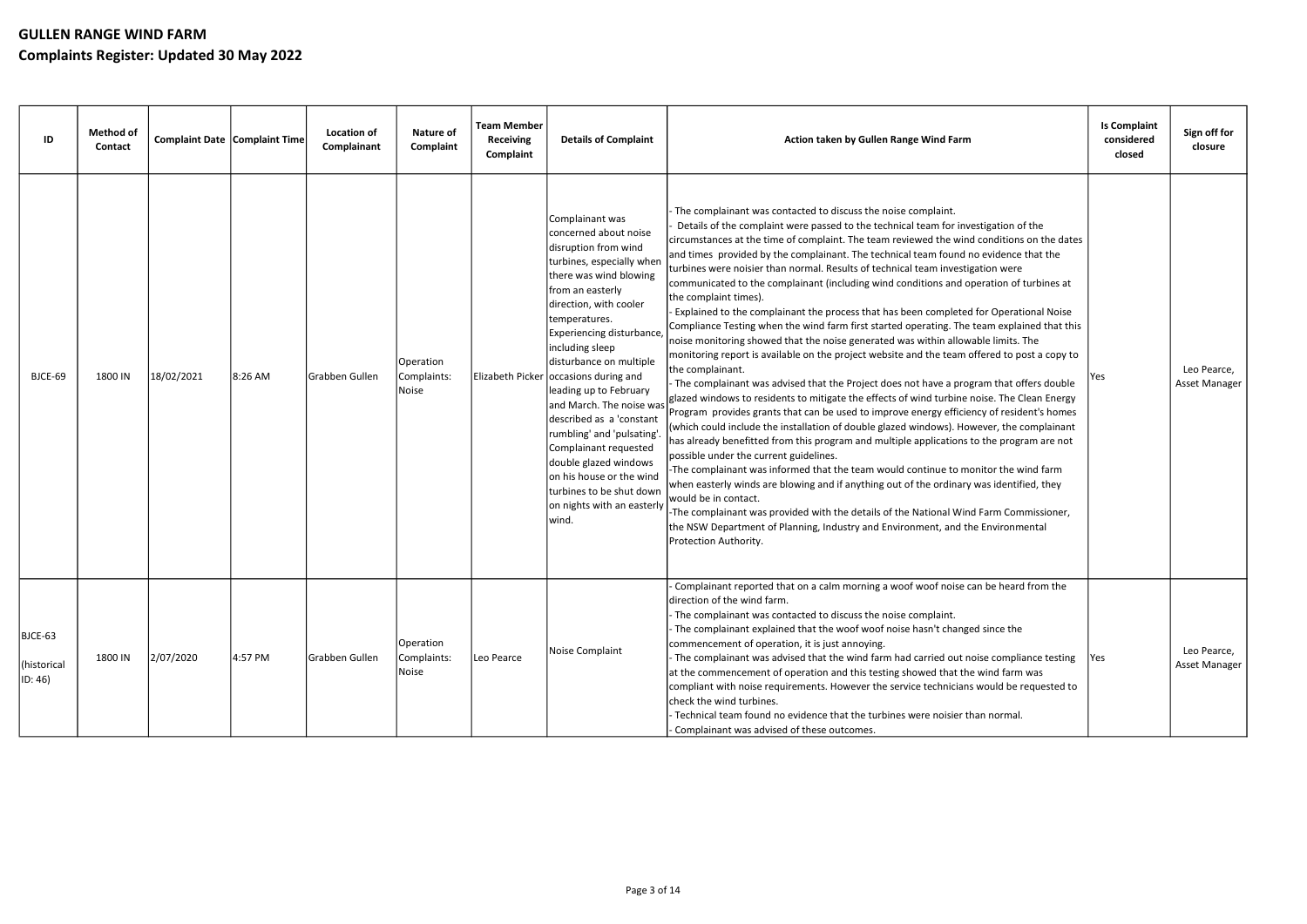| ID                                | <b>Method of</b><br>Contact | <b>Complaint Date Complaint Time</b> |         | <b>Location of</b><br>Complainant | <b>Nature of</b><br>Complaint     | <b>Team Member</b><br><b>Receiving</b><br>Complaint | <b>Details of Complaint</b>                                                                                                                                                                                                                                                                                                                                                                                                                                                                                                                                                 | Action taken by Gullen Range Wind Farm                                                                                                                                                                                                                                                                                                                                                                                                                                                                                                                                                                                                                                                                                                                                                                                                                                                                                                                                                                                                                                                                                                                                                                                                                                                                                                                                                                                                                                                                                                                                                                                                                                                                                                                                                                                                                                                          | <b>Is Complaint</b><br>considered<br>closed | Sign off for<br>closure      |
|-----------------------------------|-----------------------------|--------------------------------------|---------|-----------------------------------|-----------------------------------|-----------------------------------------------------|-----------------------------------------------------------------------------------------------------------------------------------------------------------------------------------------------------------------------------------------------------------------------------------------------------------------------------------------------------------------------------------------------------------------------------------------------------------------------------------------------------------------------------------------------------------------------------|-------------------------------------------------------------------------------------------------------------------------------------------------------------------------------------------------------------------------------------------------------------------------------------------------------------------------------------------------------------------------------------------------------------------------------------------------------------------------------------------------------------------------------------------------------------------------------------------------------------------------------------------------------------------------------------------------------------------------------------------------------------------------------------------------------------------------------------------------------------------------------------------------------------------------------------------------------------------------------------------------------------------------------------------------------------------------------------------------------------------------------------------------------------------------------------------------------------------------------------------------------------------------------------------------------------------------------------------------------------------------------------------------------------------------------------------------------------------------------------------------------------------------------------------------------------------------------------------------------------------------------------------------------------------------------------------------------------------------------------------------------------------------------------------------------------------------------------------------------------------------------------------------|---------------------------------------------|------------------------------|
| BJCE-69                           | 1800 IN                     | 18/02/2021                           | 8:26 AM | Grabben Gullen                    | Operation<br>Complaints:<br>Noise |                                                     | Complainant was<br>concerned about noise<br>disruption from wind<br>turbines, especially when<br>there was wind blowing<br>from an easterly<br>direction, with cooler<br>temperatures.<br>Experiencing disturbance,<br>including sleep<br>disturbance on multiple<br>Elizabeth Picker occasions during and<br>leading up to February<br>and March. The noise was<br>described as a 'constant<br>rumbling' and 'pulsating'.<br>Complainant requested<br>double glazed windows<br>on his house or the wind<br>turbines to be shut down<br>on nights with an easterly<br>wind. | The complainant was contacted to discuss the noise complaint.<br>Details of the complaint were passed to the technical team for investigation of the<br>circumstances at the time of complaint. The team reviewed the wind conditions on the dates<br>and times provided by the complainant. The technical team found no evidence that the<br>turbines were noisier than normal. Results of technical team investigation were<br>communicated to the complainant (including wind conditions and operation of turbines at<br>the complaint times).<br>Explained to the complainant the process that has been completed for Operational Noise<br>Compliance Testing when the wind farm first started operating. The team explained that this<br>noise monitoring showed that the noise generated was within allowable limits. The<br>monitoring report is available on the project website and the team offered to post a copy to<br>the complainant.<br>The complainant was advised that the Project does not have a program that offers double<br>glazed windows to residents to mitigate the effects of wind turbine noise. The Clean Energy<br>Program provides grants that can be used to improve energy efficiency of resident's homes<br>(which could include the installation of double glazed windows). However, the complainant<br>has already benefitted from this program and multiple applications to the program are not<br>possible under the current guidelines.<br>-The complainant was informed that the team would continue to monitor the wind farm<br>when easterly winds are blowing and if anything out of the ordinary was identified, they<br>would be in contact.<br>-The complainant was provided with the details of the National Wind Farm Commissioner,<br>the NSW Department of Planning, Industry and Environment, and the Environmental<br>Protection Authority. | Yes                                         | Leo Pearce,<br>Asset Manager |
| BJCE-63<br>(historical<br>ID: 46) | 1800 IN                     | 2/07/2020                            | 4:57 PM | Grabben Gullen                    | Operation<br>Complaints:<br>Noise | Leo Pearce                                          | Noise Complaint                                                                                                                                                                                                                                                                                                                                                                                                                                                                                                                                                             | Complainant reported that on a calm morning a woof woof noise can be heard from the<br>direction of the wind farm.<br>The complainant was contacted to discuss the noise complaint.<br>The complainant explained that the woof woof noise hasn't changed since the<br>commencement of operation, it is just annoying.<br>The complainant was advised that the wind farm had carried out noise compliance testing<br>at the commencement of operation and this testing showed that the wind farm was<br>compliant with noise requirements. However the service technicians would be requested to<br>check the wind turbines.<br>Technical team found no evidence that the turbines were noisier than normal.<br>Complainant was advised of these outcomes.                                                                                                                                                                                                                                                                                                                                                                                                                                                                                                                                                                                                                                                                                                                                                                                                                                                                                                                                                                                                                                                                                                                                       | Yes                                         | Leo Pearce,<br>Asset Manager |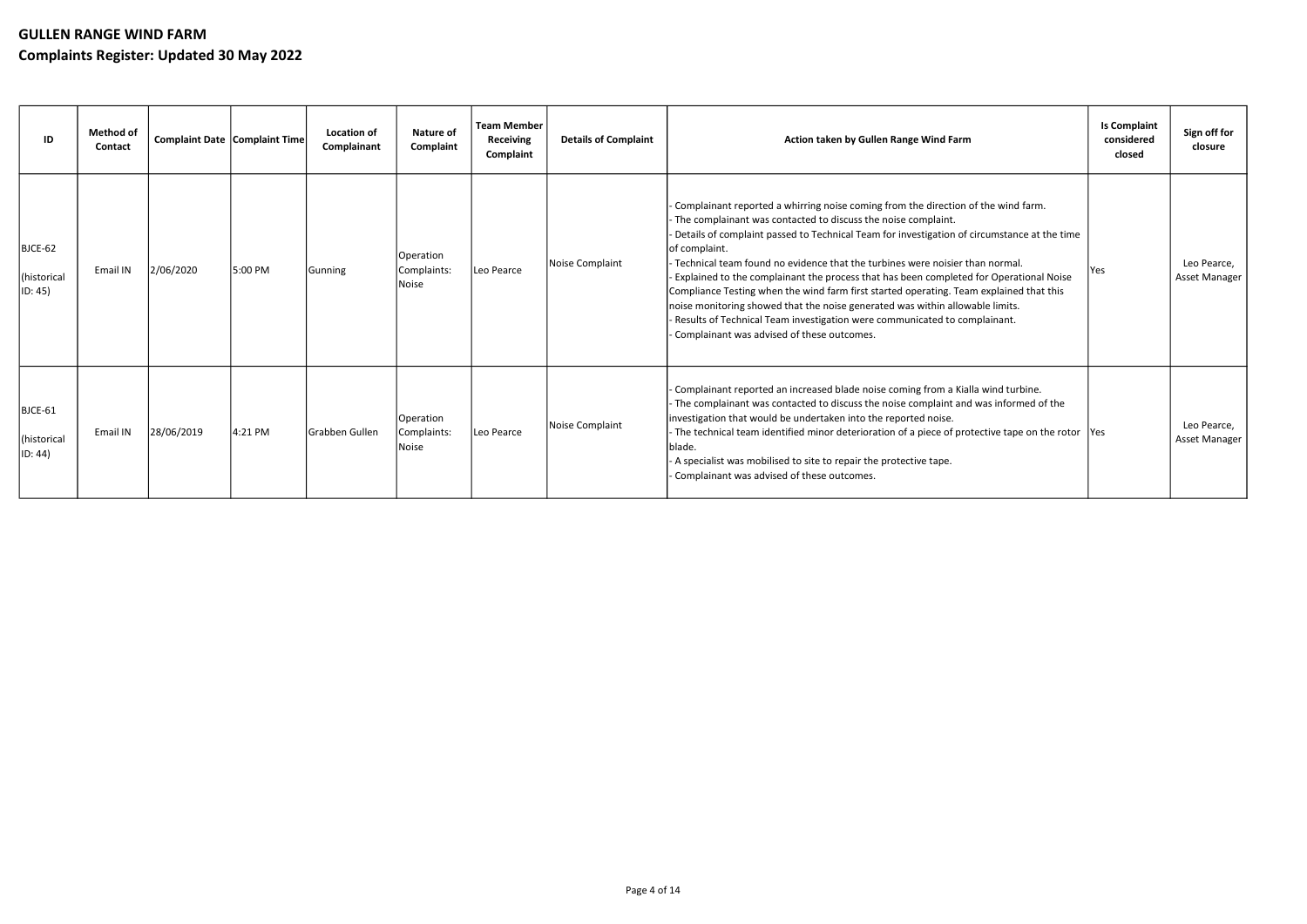| ID                                | <b>Method of</b><br>Contact | Complaint Date Complaint Time |         | Location of<br>Complainant | <b>Nature of</b><br>Complaint     | <b>Team Member</b><br><b>Receiving</b><br>Complaint | <b>Details of Complaint</b> | Action taken by Gullen Range Wind Farm                                                                                                                                                                                                                                                                                                                                                                                                                                                                                                                                                                                                                                                                                                                       | <b>Is Complaint</b><br>considered<br>closed | Sign off for<br>closure      |
|-----------------------------------|-----------------------------|-------------------------------|---------|----------------------------|-----------------------------------|-----------------------------------------------------|-----------------------------|--------------------------------------------------------------------------------------------------------------------------------------------------------------------------------------------------------------------------------------------------------------------------------------------------------------------------------------------------------------------------------------------------------------------------------------------------------------------------------------------------------------------------------------------------------------------------------------------------------------------------------------------------------------------------------------------------------------------------------------------------------------|---------------------------------------------|------------------------------|
| BJCE-62<br>(historical<br>ID: 45) | Email IN                    | 2/06/2020                     | 5:00 PM | Gunning                    | Operation<br>Complaints:<br>Noise | Leo Pearce                                          | Noise Complaint             | - Complainant reported a whirring noise coming from the direction of the wind farm.<br>- The complainant was contacted to discuss the noise complaint.<br>Details of complaint passed to Technical Team for investigation of circumstance at the time<br>lof complaint.<br>Technical team found no evidence that the turbines were noisier than normal.<br>Explained to the complainant the process that has been completed for Operational Noise<br>Compliance Testing when the wind farm first started operating. Team explained that this<br>noise monitoring showed that the noise generated was within allowable limits.<br>- Results of Technical Team investigation were communicated to complainant.<br>- Complainant was advised of these outcomes. | Yes                                         | Leo Pearce,<br>Asset Manager |
| BJCE-61<br>(historical<br>ID: 44) | Email IN                    | 28/06/2019                    | 4:21 PM | <b>IGrabben Gullen</b>     | Operation<br>Complaints:<br>Noise | Leo Pearce                                          | Noise Complaint             | - Complainant reported an increased blade noise coming from a Kialla wind turbine.<br>- The complainant was contacted to discuss the noise complaint and was informed of the<br>investigation that would be undertaken into the reported noise.<br>- The technical team identified minor deterioration of a piece of protective tape on the rotor  Yes<br>Iblade.<br>- A specialist was mobilised to site to repair the protective tape.<br>- Complainant was advised of these outcomes.                                                                                                                                                                                                                                                                     |                                             | Leo Pearce,<br>Asset Manager |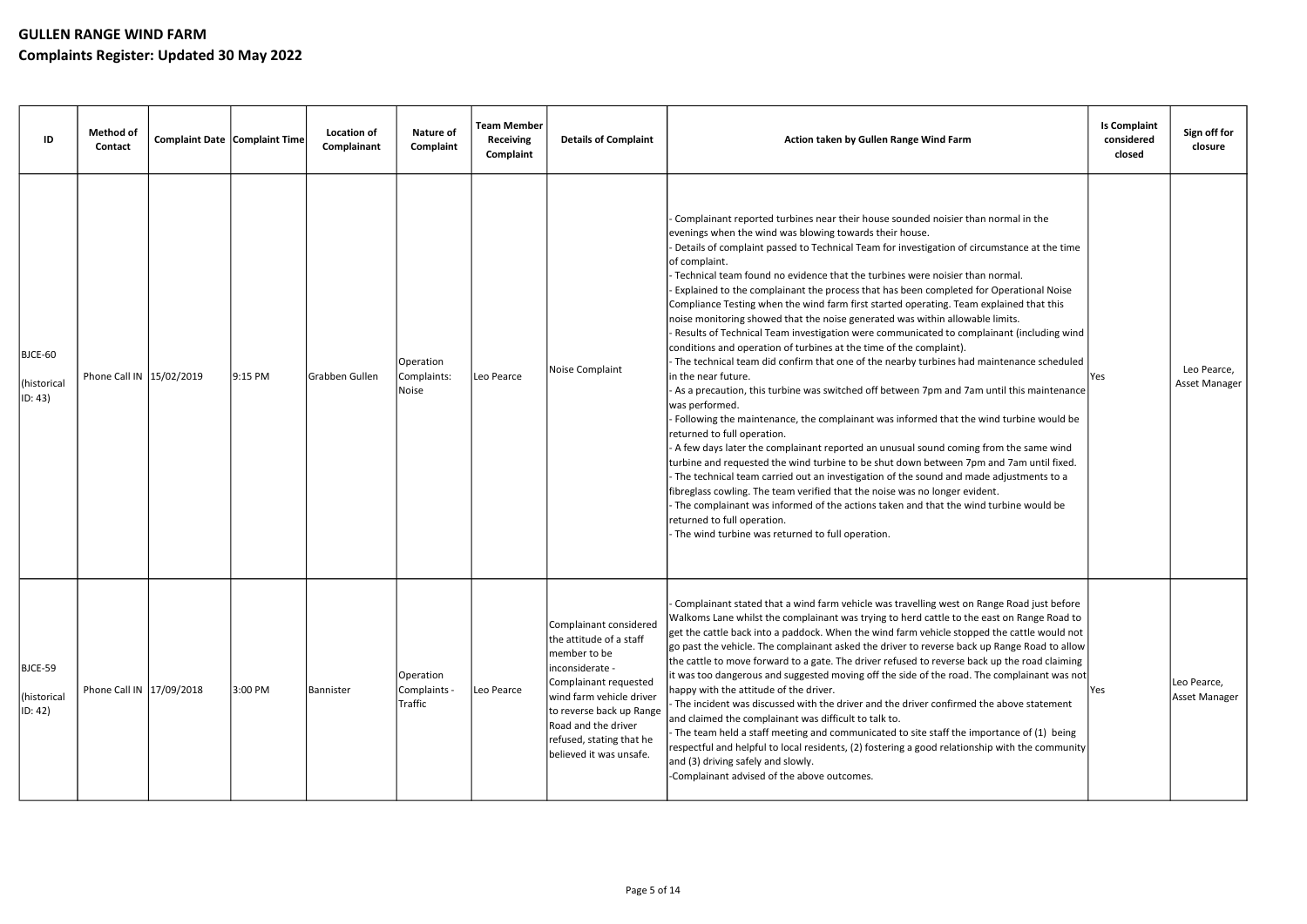| ID                                | <b>Method of</b><br>Contact | Complaint Date Complaint Time |           | <b>Location of</b><br>Complainant | <b>Nature of</b><br>Complaint         | <b>Team Member</b><br><b>Receiving</b><br>Complaint | <b>Details of Complaint</b>                                                                                                                                                                                                                         | Action taken by Gullen Range Wind Farm                                                                                                                                                                                                                                                                                                                                                                                                                                                                                                                                                                                                                                                                                                                                                                                                                                                                                                                                                                                                                                                                                                                                                                                                                                                                                                                                                                                                                                                                                                                                                                                                                                                                | <b>Is Complaint</b><br>considered<br>closed | Sign off for<br>closure      |
|-----------------------------------|-----------------------------|-------------------------------|-----------|-----------------------------------|---------------------------------------|-----------------------------------------------------|-----------------------------------------------------------------------------------------------------------------------------------------------------------------------------------------------------------------------------------------------------|-------------------------------------------------------------------------------------------------------------------------------------------------------------------------------------------------------------------------------------------------------------------------------------------------------------------------------------------------------------------------------------------------------------------------------------------------------------------------------------------------------------------------------------------------------------------------------------------------------------------------------------------------------------------------------------------------------------------------------------------------------------------------------------------------------------------------------------------------------------------------------------------------------------------------------------------------------------------------------------------------------------------------------------------------------------------------------------------------------------------------------------------------------------------------------------------------------------------------------------------------------------------------------------------------------------------------------------------------------------------------------------------------------------------------------------------------------------------------------------------------------------------------------------------------------------------------------------------------------------------------------------------------------------------------------------------------------|---------------------------------------------|------------------------------|
| BJCE-60<br>(historical<br>ID: 43) | Phone Call IN 15/02/2019    |                               | $9:15$ PM | Grabben Gullen                    | Operation<br>Complaints:<br>Noise     | Leo Pearce                                          | Noise Complaint                                                                                                                                                                                                                                     | Complainant reported turbines near their house sounded noisier than normal in the<br>evenings when the wind was blowing towards their house.<br>Details of complaint passed to Technical Team for investigation of circumstance at the time<br>of complaint.<br>Technical team found no evidence that the turbines were noisier than normal.<br>Explained to the complainant the process that has been completed for Operational Noise<br>Compliance Testing when the wind farm first started operating. Team explained that this<br>noise monitoring showed that the noise generated was within allowable limits.<br>- Results of Technical Team investigation were communicated to complainant (including wind<br>conditions and operation of turbines at the time of the complaint).<br>- The technical team did confirm that one of the nearby turbines had maintenance scheduled<br>in the near future.<br>- As a precaution, this turbine was switched off between 7pm and 7am until this maintenance<br>was performed.<br>Following the maintenance, the complainant was informed that the wind turbine would be<br>returned to full operation.<br>- A few days later the complainant reported an unusual sound coming from the same wind<br>turbine and requested the wind turbine to be shut down between 7pm and 7am until fixed.<br>- The technical team carried out an investigation of the sound and made adjustments to a<br>fibreglass cowling. The team verified that the noise was no longer evident.<br>- The complainant was informed of the actions taken and that the wind turbine would be<br>returned to full operation.<br>- The wind turbine was returned to full operation. | Yes                                         | Leo Pearce,<br>Asset Manager |
| BJCE-59<br>(historical<br>ID: 42) | Phone Call IN 17/09/2018    |                               | 3:00 PM   | Bannister                         | Operation<br>Complaints -<br> Traffic | Leo Pearce                                          | Complainant considered<br>the attitude of a staff<br>member to be<br>inconsiderate -<br>Complainant requested<br>wind farm vehicle driver<br>to reverse back up Range<br>Road and the driver<br>refused, stating that he<br>believed it was unsafe. | Complainant stated that a wind farm vehicle was travelling west on Range Road just before<br>Walkoms Lane whilst the complainant was trying to herd cattle to the east on Range Road to<br>get the cattle back into a paddock. When the wind farm vehicle stopped the cattle would not<br>go past the vehicle. The complainant asked the driver to reverse back up Range Road to allow<br>the cattle to move forward to a gate. The driver refused to reverse back up the road claiming<br>it was too dangerous and suggested moving off the side of the road. The complainant was not<br>happy with the attitude of the driver.<br>- The incident was discussed with the driver and the driver confirmed the above statement<br>and claimed the complainant was difficult to talk to.<br>The team held a staff meeting and communicated to site staff the importance of (1) being<br>respectful and helpful to local residents, (2) fostering a good relationship with the community<br>and (3) driving safely and slowly.<br>-Complainant advised of the above outcomes.                                                                                                                                                                                                                                                                                                                                                                                                                                                                                                                                                                                                                            | lYes l                                      | Leo Pearce,<br>Asset Manager |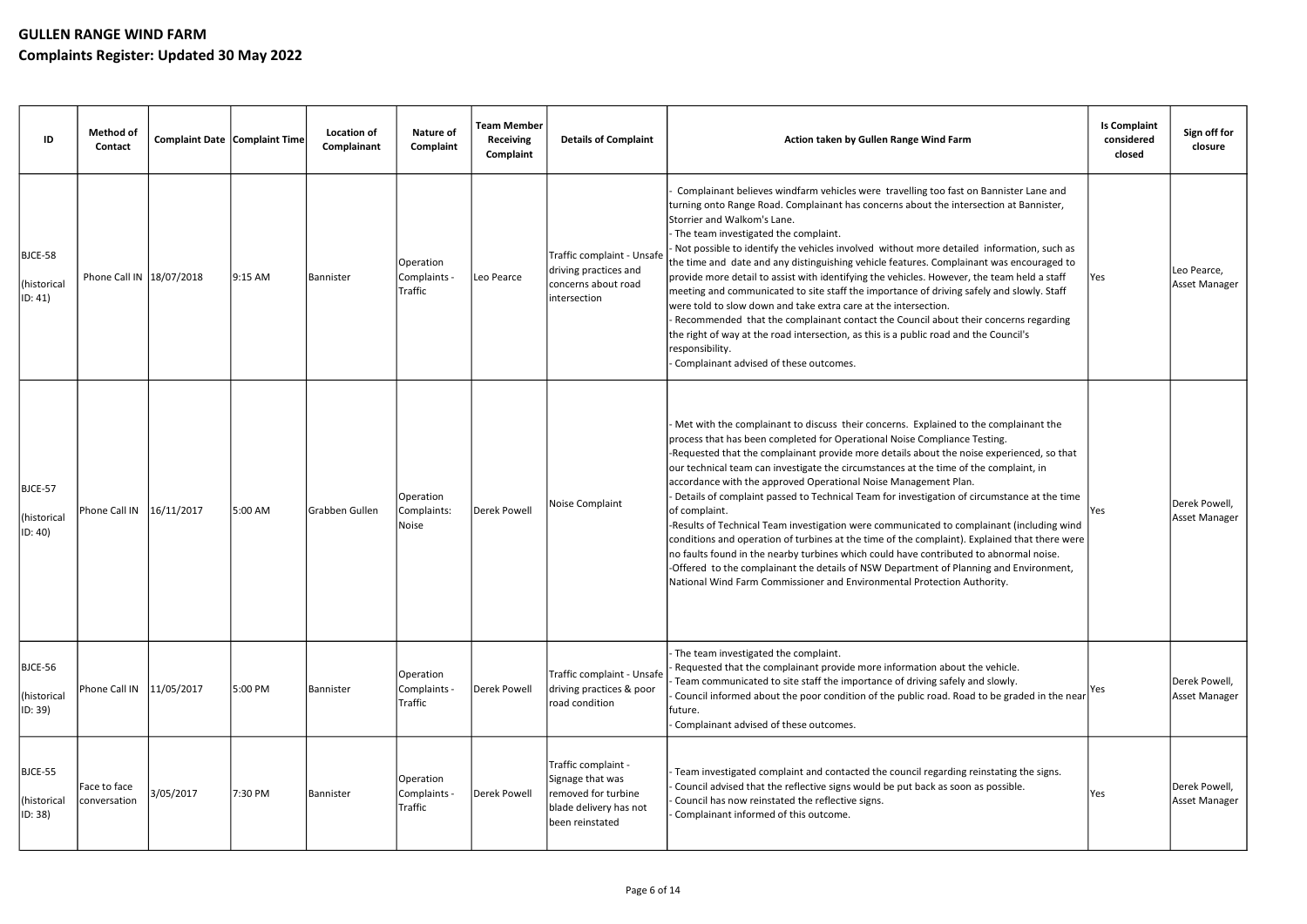| ID                                         | <b>Method of</b><br>Contact  | Complaint Date Complaint Time |         | <b>Location of</b><br>Complainant | <b>Nature of</b><br>Complaint        | <b>Team Member</b><br><b>Receiving</b><br>Complaint | <b>Details of Complaint</b>                                                                                 | Action taken by Gullen Range Wind Farm                                                                                                                                                                                                                                                                                                                                                                                                                                                                                                                                                                                                                                                                                                                                                                                                                                                                                                                                                                  | <b>Is Complaint</b><br>considered<br>closed | Sign off for<br>closure        |
|--------------------------------------------|------------------------------|-------------------------------|---------|-----------------------------------|--------------------------------------|-----------------------------------------------------|-------------------------------------------------------------------------------------------------------------|---------------------------------------------------------------------------------------------------------------------------------------------------------------------------------------------------------------------------------------------------------------------------------------------------------------------------------------------------------------------------------------------------------------------------------------------------------------------------------------------------------------------------------------------------------------------------------------------------------------------------------------------------------------------------------------------------------------------------------------------------------------------------------------------------------------------------------------------------------------------------------------------------------------------------------------------------------------------------------------------------------|---------------------------------------------|--------------------------------|
| BJCE-58<br>(historical<br>ID: 41)          | Phone Call IN   18/07/2018   |                               | 9:15 AM | Bannister                         | Operation<br>Complaints -<br>Traffic | Leo Pearce                                          | Traffic complaint - Unsafe<br>driving practices and<br>concerns about road<br>intersection                  | Complainant believes windfarm vehicles were travelling too fast on Bannister Lane and<br>turning onto Range Road. Complainant has concerns about the intersection at Bannister,<br>Storrier and Walkom's Lane.<br>- The team investigated the complaint.<br>Not possible to identify the vehicles involved without more detailed information, such as<br>the time and date and any distinguishing vehicle features. Complainant was encouraged to<br>provide more detail to assist with identifying the vehicles. However, the team held a staff<br>meeting and communicated to site staff the importance of driving safely and slowly. Staff<br>were told to slow down and take extra care at the intersection.<br>- Recommended that the complainant contact the Council about their concerns regarding<br>the right of way at the road intersection, as this is a public road and the Council's<br>responsibility.<br>- Complainant advised of these outcomes.                                       | Yes                                         | Leo Pearce,<br>Asset Manager   |
| BJCE-57<br>(historical<br>$ ID: 40\rangle$ | Phone Call IN   16/11/2017   |                               | 5:00 AM | lGrabben Gullen                   | Operation<br>Complaints:<br>Noise    | Derek Powell                                        | Noise Complaint                                                                                             | Met with the complainant to discuss their concerns. Explained to the complainant the<br>process that has been completed for Operational Noise Compliance Testing.<br>-Requested that the complainant provide more details about the noise experienced, so that<br>our technical team can investigate the circumstances at the time of the complaint, in<br>accordance with the approved Operational Noise Management Plan.<br>Details of complaint passed to Technical Team for investigation of circumstance at the time<br>of complaint.<br>-Results of Technical Team investigation were communicated to complainant (including wind<br>conditions and operation of turbines at the time of the complaint). Explained that there were<br>no faults found in the nearby turbines which could have contributed to abnormal noise.<br>-Offered to the complainant the details of NSW Department of Planning and Environment,<br>National Wind Farm Commissioner and Environmental Protection Authority. | lYes.                                       | Derek Powell,<br>Asset Manager |
| BJCE-56<br>(historical<br>ID: 39)          | Phone Call IN   11/05/2017   |                               | 5:00 PM | Bannister                         | Operation<br>Complaints -<br>Traffic | Derek Powell                                        | Traffic complaint - Unsafe<br>driving practices & poor<br>road condition                                    | The team investigated the complaint.<br>Requested that the complainant provide more information about the vehicle.<br>Team communicated to site staff the importance of driving safely and slowly.<br>Council informed about the poor condition of the public road. Road to be graded in the near<br> future.<br>- Complainant advised of these outcomes.                                                                                                                                                                                                                                                                                                                                                                                                                                                                                                                                                                                                                                               | Yes                                         | Derek Powell,<br>Asset Manager |
| BJCE-55<br>(historical<br>ID: 38)          | Face to face<br>conversation | 3/05/2017                     | 7:30 PM | Bannister                         | Operation<br>Complaints -<br>Traffic | Derek Powell                                        | Traffic complaint -<br>Signage that was<br>removed for turbine<br>blade delivery has not<br>been reinstated | - Team investigated complaint and contacted the council regarding reinstating the signs.<br>Council advised that the reflective signs would be put back as soon as possible.<br>Council has now reinstated the reflective signs.<br>Complainant informed of this outcome.                                                                                                                                                                                                                                                                                                                                                                                                                                                                                                                                                                                                                                                                                                                               | Yes                                         | Derek Powell,<br>Asset Manager |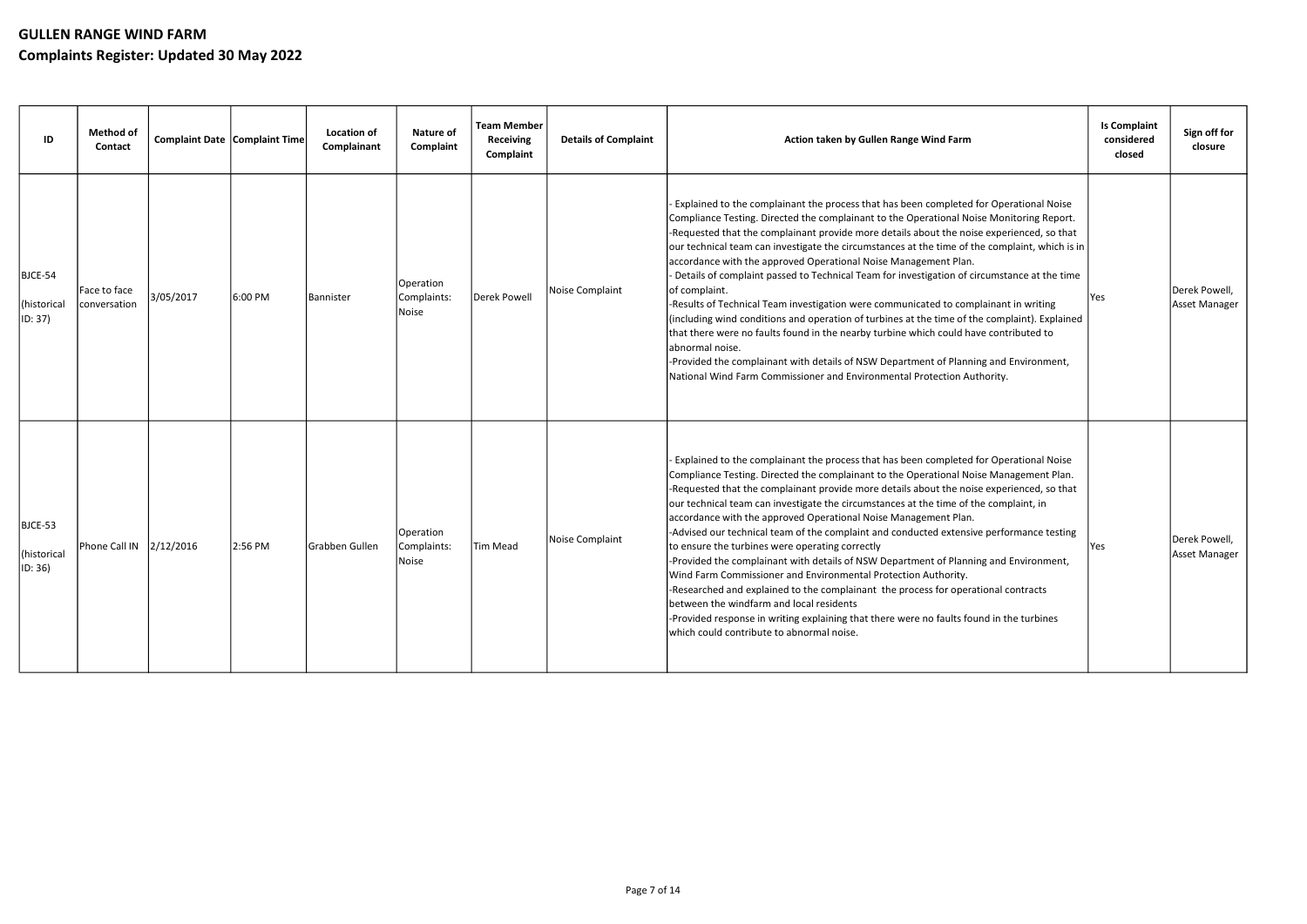| ID                                | <b>Method of</b><br>Contact  | Complaint Date Complaint Time |         | <b>Location of</b><br>Complainant | Nature of<br>Complaint            | <b>Team Member</b><br><b>Receiving</b><br>Complaint | <b>Details of Complaint</b> | Action taken by Gullen Range Wind Farm                                                                                                                                                                                                                                                                                                                                                                                                                                                                                                                                                                                                                                                                                                                                                                                                                                                                                                                                                                                                            | <b>Is Complaint</b><br>considered<br>closed | Sign off for<br>closure        |
|-----------------------------------|------------------------------|-------------------------------|---------|-----------------------------------|-----------------------------------|-----------------------------------------------------|-----------------------------|---------------------------------------------------------------------------------------------------------------------------------------------------------------------------------------------------------------------------------------------------------------------------------------------------------------------------------------------------------------------------------------------------------------------------------------------------------------------------------------------------------------------------------------------------------------------------------------------------------------------------------------------------------------------------------------------------------------------------------------------------------------------------------------------------------------------------------------------------------------------------------------------------------------------------------------------------------------------------------------------------------------------------------------------------|---------------------------------------------|--------------------------------|
| BJCE-54<br>(historical<br>ID: 37) | Face to face<br>conversation | 3/05/2017                     | 6:00 PM | <b>Bannister</b>                  | Operation<br>Complaints:<br>Noise | Derek Powell                                        | Noise Complaint             | Explained to the complainant the process that has been completed for Operational Noise<br>Compliance Testing. Directed the complainant to the Operational Noise Monitoring Report.<br>-Requested that the complainant provide more details about the noise experienced, so that<br>our technical team can investigate the circumstances at the time of the complaint, which is in<br>accordance with the approved Operational Noise Management Plan.<br>- Details of complaint passed to Technical Team for investigation of circumstance at the time<br>lof complaint.<br>-Results of Technical Team investigation were communicated to complainant in writing<br>(including wind conditions and operation of turbines at the time of the complaint). Explained<br>that there were no faults found in the nearby turbine which could have contributed to<br>labnormal noise.<br>-Provided the complainant with details of NSW Department of Planning and Environment,<br>National Wind Farm Commissioner and Environmental Protection Authority. | Yes                                         | Derek Powell,<br>Asset Manager |
| BJCE-53<br>(historical<br>ID: 36) | Phone Call IN 2/12/2016      |                               | 2:56 PM | Grabben Gullen                    | Operation<br>Complaints:<br>Noise | <b>Tim Mead</b>                                     | Noise Complaint             | Explained to the complainant the process that has been completed for Operational Noise<br>Compliance Testing. Directed the complainant to the Operational Noise Management Plan.<br>-Requested that the complainant provide more details about the noise experienced, so that<br>our technical team can investigate the circumstances at the time of the complaint, in<br>accordance with the approved Operational Noise Management Plan.<br>-Advised our technical team of the complaint and conducted extensive performance testing<br>to ensure the turbines were operating correctly<br>-Provided the complainant with details of NSW Department of Planning and Environment,<br>Wind Farm Commissioner and Environmental Protection Authority.<br>-Researched and explained to the complainant the process for operational contracts<br>between the windfarm and local residents<br>-Provided response in writing explaining that there were no faults found in the turbines<br>which could contribute to abnormal noise.                    | <b>Yes</b>                                  | Derek Powell,<br>Asset Manager |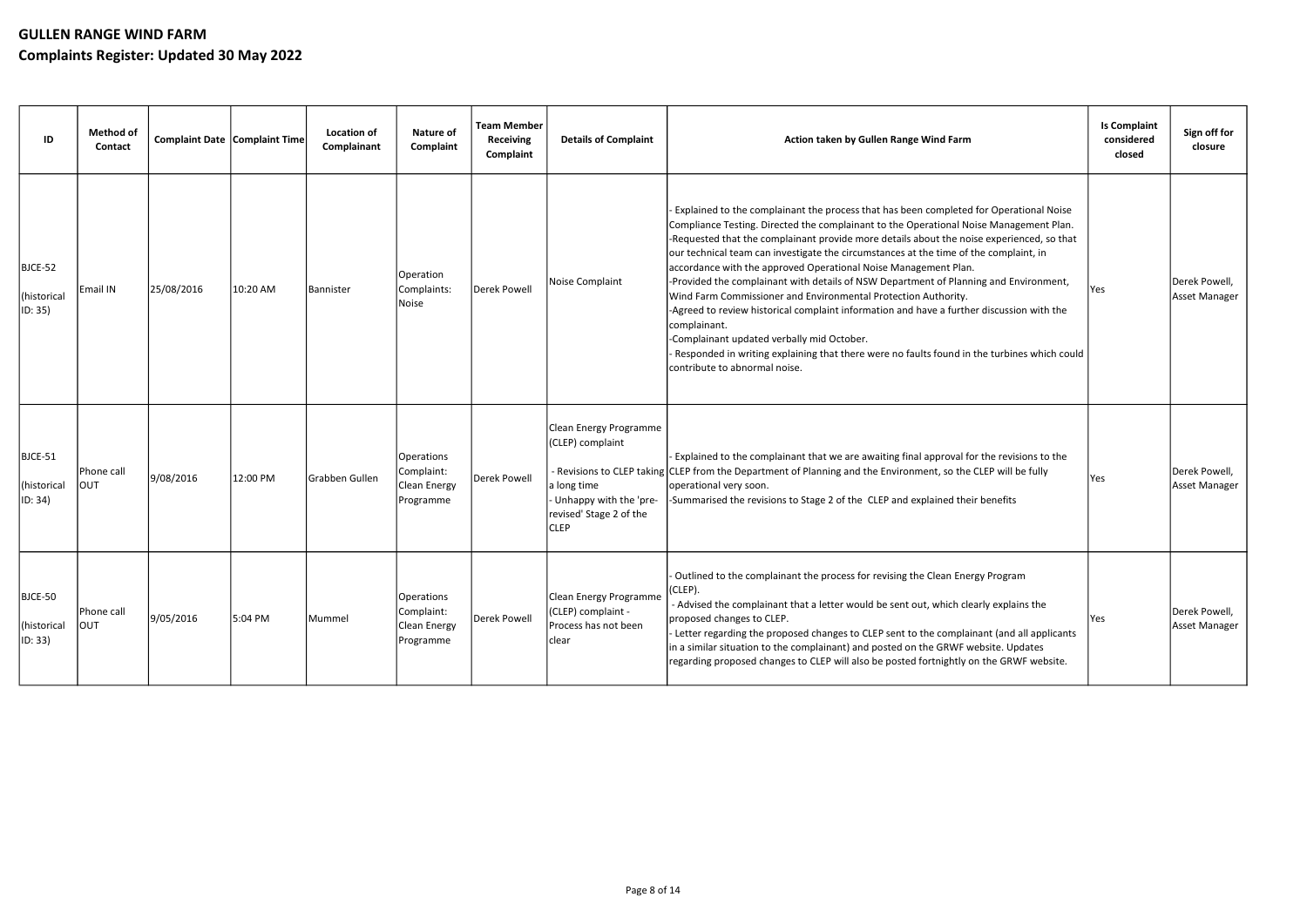| ID                                | Method of<br><b>Contact</b> | Complaint Date Complaint Time |          | Location of<br>Complainant | Nature of<br>Complaint                                | <b>Team Member</b><br><b>Receiving</b><br>Complaint | <b>Details of Complaint</b>                                                                                                     | Action taken by Gullen Range Wind Farm                                                                                                                                                                                                                                                                                                                                                                                                                                                                                                                                                                                                                                                                                                                                                                                                                                                          | <b>Is Complaint</b><br>considered<br>closed | Sign off for<br>closure        |
|-----------------------------------|-----------------------------|-------------------------------|----------|----------------------------|-------------------------------------------------------|-----------------------------------------------------|---------------------------------------------------------------------------------------------------------------------------------|-------------------------------------------------------------------------------------------------------------------------------------------------------------------------------------------------------------------------------------------------------------------------------------------------------------------------------------------------------------------------------------------------------------------------------------------------------------------------------------------------------------------------------------------------------------------------------------------------------------------------------------------------------------------------------------------------------------------------------------------------------------------------------------------------------------------------------------------------------------------------------------------------|---------------------------------------------|--------------------------------|
| BJCE-52<br>(historical<br>ID: 35) | Email IN                    | 25/08/2016                    | 10:20 AM | Bannister                  | Operation<br>Complaints:<br>Noise                     | Derek Powell                                        | Noise Complaint                                                                                                                 | Explained to the complainant the process that has been completed for Operational Noise<br>Compliance Testing. Directed the complainant to the Operational Noise Management Plan.<br>-Requested that the complainant provide more details about the noise experienced, so that<br>our technical team can investigate the circumstances at the time of the complaint, in<br>accordance with the approved Operational Noise Management Plan.<br>-Provided the complainant with details of NSW Department of Planning and Environment,<br>Wind Farm Commissioner and Environmental Protection Authority.<br>-Agreed to review historical complaint information and have a further discussion with the<br>complainant.<br>-Complainant updated verbally mid October.<br>Responded in writing explaining that there were no faults found in the turbines which could<br>contribute to abnormal noise. | Yes                                         | Derek Powell,<br>Asset Manager |
| BJCE-51<br>(historical<br>ID: 34) | Phone call<br> ΟUΤ          | 9/08/2016                     | 12:00 PM | Grabben Gullen             | Operations<br>Complaint:<br>Clean Energy<br>Programme | Derek Powell                                        | Clean Energy Programme<br>(CLEP) complaint<br>a long time<br>- Unhappy with the 'pre-<br>revised' Stage 2 of the<br><b>CLEP</b> | Explained to the complainant that we are awaiting final approval for the revisions to the<br>- Revisions to CLEP taking CLEP from the Department of Planning and the Environment, so the CLEP will be fully<br>operational very soon.<br>-Summarised the revisions to Stage 2 of the CLEP and explained their benefits                                                                                                                                                                                                                                                                                                                                                                                                                                                                                                                                                                          | Yes                                         | Derek Powell,<br>Asset Manager |
| BJCE-50<br>(historical<br>ID: 33) | Phone call<br>Ιουτ          | 9/05/2016                     | 5:04 PM  | Mummel                     | Operations<br>Complaint:<br>Clean Energy<br>Programme | Derek Powell                                        | Clean Energy Programme<br>(CLEP) complaint -<br>Process has not been<br>clear                                                   | Outlined to the complainant the process for revising the Clean Energy Program<br>$ $ (CLEP).<br>- Advised the complainant that a letter would be sent out, which clearly explains the<br>proposed changes to CLEP.<br>Letter regarding the proposed changes to CLEP sent to the complainant (and all applicants<br>in a similar situation to the complainant) and posted on the GRWF website. Updates<br>regarding proposed changes to CLEP will also be posted fortnightly on the GRWF website.                                                                                                                                                                                                                                                                                                                                                                                                | Yes                                         | Derek Powell,<br>Asset Manager |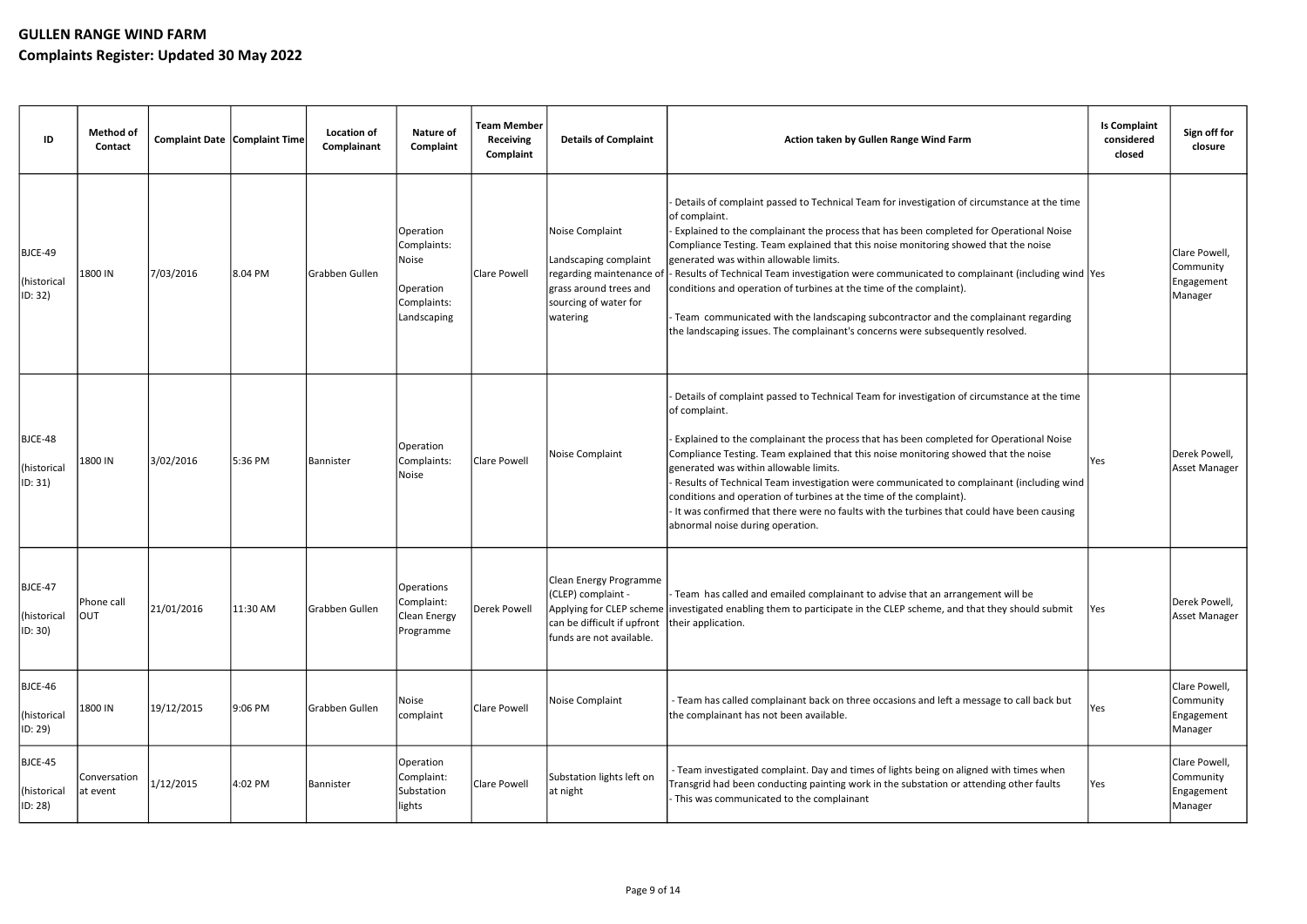| ID                                | Method of<br><b>Contact</b> | Complaint Date Complaint Time |          | Location of<br>Complainant | <b>Nature of</b><br>Complaint                                                | <b>Team Member</b><br><b>Receiving</b><br>Complaint | <b>Details of Complaint</b>                                                                                                         | Action taken by Gullen Range Wind Farm                                                                                                                                                                                                                                                                                                                                                                                                                                                                                                                                                                                                                                                   | <b>Is Complaint</b><br>considered<br>closed | Sign off for<br>closure                             |
|-----------------------------------|-----------------------------|-------------------------------|----------|----------------------------|------------------------------------------------------------------------------|-----------------------------------------------------|-------------------------------------------------------------------------------------------------------------------------------------|------------------------------------------------------------------------------------------------------------------------------------------------------------------------------------------------------------------------------------------------------------------------------------------------------------------------------------------------------------------------------------------------------------------------------------------------------------------------------------------------------------------------------------------------------------------------------------------------------------------------------------------------------------------------------------------|---------------------------------------------|-----------------------------------------------------|
| BJCE-49<br>(historical<br>ID: 32) | 1800 IN                     | 7/03/2016                     | 8.04 PM  | Grabben Gullen             | Operation<br>Complaints:<br>Noise<br>Operation<br>Complaints:<br>Landscaping | Clare Powell                                        | Noise Complaint<br>Landscaping complaint<br>regarding maintenance of<br>grass around trees and<br>sourcing of water for<br>watering | Details of complaint passed to Technical Team for investigation of circumstance at the time<br>of complaint.<br>Explained to the complainant the process that has been completed for Operational Noise<br>Compliance Testing. Team explained that this noise monitoring showed that the noise<br>generated was within allowable limits.<br>- Results of Technical Team investigation were communicated to complainant (including wind Yes<br>conditions and operation of turbines at the time of the complaint).<br>Team communicated with the landscaping subcontractor and the complainant regarding<br>the landscaping issues. The complainant's concerns were subsequently resolved. |                                             | Clare Powell<br>Community<br>Engagement<br>Manager  |
| BJCE-48<br>(historical<br>ID: 31) | 1800 IN                     | 3/02/2016                     | 5:36 PM  | Bannister                  | Operation<br>Complaints:<br>Noise                                            | Clare Powell                                        | Noise Complaint                                                                                                                     | Details of complaint passed to Technical Team for investigation of circumstance at the time<br>of complaint.<br>Explained to the complainant the process that has been completed for Operational Noise<br>Compliance Testing. Team explained that this noise monitoring showed that the noise<br>generated was within allowable limits.<br>Results of Technical Team investigation were communicated to complainant (including wind<br>conditions and operation of turbines at the time of the complaint).<br>- It was confirmed that there were no faults with the turbines that could have been causing<br>abnormal noise during operation.                                            | Yes                                         | Derek Powell,<br>Asset Manager                      |
| BJCE-47<br>(historical<br>ID: 30) | Phone call<br>Ιουτ          | 21/01/2016                    | 11:30 AM | Grabben Gullen             | Operations<br>Complaint:<br>Clean Energy<br>Programme                        | Derek Powell                                        | Clean Energy Programme<br>(CLEP) complaint -<br>can be difficult if upfront their application.<br>funds are not available.          | - Team has called and emailed complainant to advise that an arrangement will be<br>Applying for CLEP scheme investigated enabling them to participate in the CLEP scheme, and that they should submit                                                                                                                                                                                                                                                                                                                                                                                                                                                                                    | Yes                                         | Derek Powell,<br>Asset Manager                      |
| BJCE-46<br>(historical<br>ID: 29) | 1800 IN                     | 19/12/2015                    | 9:06 PM  | Grabben Gullen             | Noise<br>complaint                                                           | Clare Powell                                        | Noise Complaint                                                                                                                     | - Team has called complainant back on three occasions and left a message to call back but<br>the complainant has not been available.                                                                                                                                                                                                                                                                                                                                                                                                                                                                                                                                                     | Yes                                         | Clare Powell,<br>Community<br>Engagement<br>Manager |
| BJCE-45<br>(historical<br>ID: 28) | Conversation<br>at event    | 1/12/2015                     | 4:02 PM  | Bannister                  | Operation<br>Complaint:<br>Substation<br>lights                              | Clare Powell                                        | Substation lights left on<br>at night                                                                                               | - Team investigated complaint. Day and times of lights being on aligned with times when<br>Transgrid had been conducting painting work in the substation or attending other faults<br>This was communicated to the complainant                                                                                                                                                                                                                                                                                                                                                                                                                                                           | Yes                                         | Clare Powell,<br>Community<br>Engagement<br>Manager |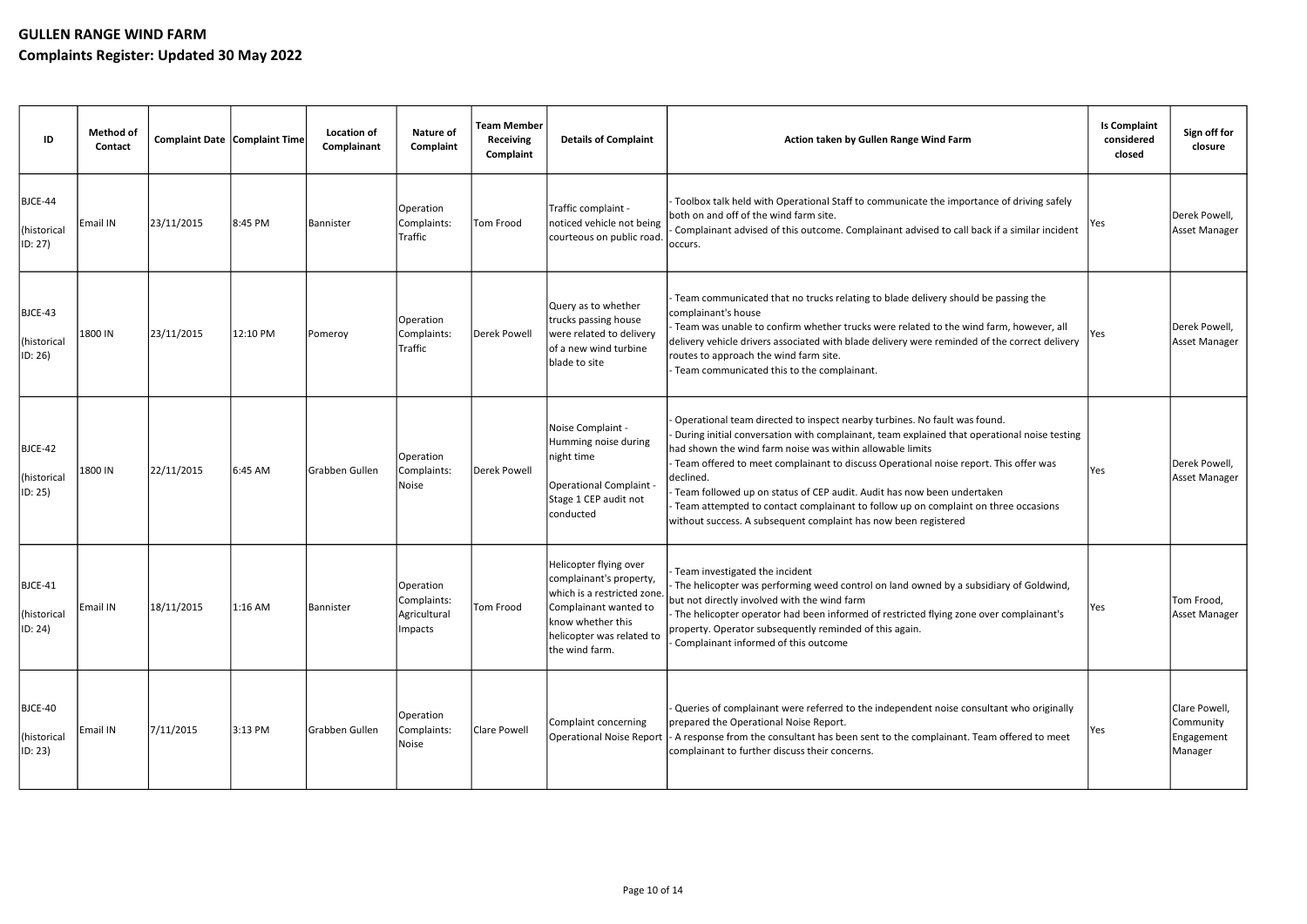| ID                                | <b>Method of</b><br>Contact | <b>Complaint Date Complaint Time</b> |          | <b>Location of</b><br>Complainant | <b>Nature of</b><br>Complaint                        | <b>Team Member</b><br><b>Receiving</b><br>Complaint | <b>Details of Complaint</b>                                                                                                                                                   | Action taken by Gullen Range Wind Farm                                                                                                                                                                                                                                                                                                                                                                                                                                                                                                                                       | <b>Is Complaint</b><br>considered<br>closed | Sign off for<br>closure                             |
|-----------------------------------|-----------------------------|--------------------------------------|----------|-----------------------------------|------------------------------------------------------|-----------------------------------------------------|-------------------------------------------------------------------------------------------------------------------------------------------------------------------------------|------------------------------------------------------------------------------------------------------------------------------------------------------------------------------------------------------------------------------------------------------------------------------------------------------------------------------------------------------------------------------------------------------------------------------------------------------------------------------------------------------------------------------------------------------------------------------|---------------------------------------------|-----------------------------------------------------|
| BJCE-44<br>(historical<br>ID: 27) | Email IN                    | 23/11/2015                           | 8:45 PM  | <b>Bannister</b>                  | Operation<br>Complaints:<br>Traffic                  | Tom Frood                                           | Traffic complaint -<br>noticed vehicle not being<br>courteous on public road.                                                                                                 | Toolbox talk held with Operational Staff to communicate the importance of driving safely<br>both on and off of the wind farm site.<br>Complainant advised of this outcome. Complainant advised to call back if a similar incident<br>loccurs.                                                                                                                                                                                                                                                                                                                                | Yes                                         | Derek Powell,<br>Asset Manager                      |
| BJCE-43<br>(historical<br>ID: 26) | 1800 IN                     | 23/11/2015                           | 12:10 PM | Pomeroy                           | Operation<br>Complaints:<br>Traffic                  | Derek Powell                                        | Query as to whether<br>trucks passing house<br>were related to delivery<br>of a new wind turbine<br>blade to site                                                             | Team communicated that no trucks relating to blade delivery should be passing the<br>complainant's house<br>Team was unable to confirm whether trucks were related to the wind farm, however, all<br>delivery vehicle drivers associated with blade delivery were reminded of the correct delivery<br>routes to approach the wind farm site.<br>Team communicated this to the complainant.                                                                                                                                                                                   | Yes                                         | Derek Powell,<br>Asset Manager                      |
| BJCE-42<br>(historical<br>ID: 25) | 1800 IN                     | 22/11/2015                           | 6:45 AM  | Grabben Gullen                    | Operation<br>Complaints:<br>Noise                    | Derek Powell                                        | Noise Complaint -<br>Humming noise during<br>night time<br><b>Operational Complaint -</b><br>Stage 1 CEP audit not<br>conducted                                               | Operational team directed to inspect nearby turbines. No fault was found.<br>During initial conversation with complainant, team explained that operational noise testing<br>had shown the wind farm noise was within allowable limits<br>Team offered to meet complainant to discuss Operational noise report. This offer was<br>declined<br>Team followed up on status of CEP audit. Audit has now been undertaken<br>Team attempted to contact complainant to follow up on complaint on three occasions<br>without success. A subsequent complaint has now been registered | Yes                                         | Derek Powell,<br>Asset Manager                      |
| BJCE-41<br>(historical<br>ID: 24) | Email IN                    | 18/11/2015                           | 1:16 AM  | Bannister                         | Operation <br>Complaints:<br>Agricultural<br>Impacts | Tom Frood                                           | Helicopter flying over<br>complainant's property,<br>which is a restricted zone.<br>Complainant wanted to<br>know whether this<br>helicopter was related to<br>the wind farm. | Team investigated the incident<br>The helicopter was performing weed control on land owned by a subsidiary of Goldwind,<br>but not directly involved with the wind farm<br>- The helicopter operator had been informed of restricted flying zone over complainant's<br>property. Operator subsequently reminded of this again.<br>Complainant informed of this outcome                                                                                                                                                                                                       | Yes                                         | Tom Frood,<br>Asset Manager                         |
| BJCE-40<br>(historical<br>ID: 23) | Email IN                    | 7/11/2015                            | 3:13 PM  | Grabben Gullen                    | Operation<br>Complaints:<br>Noise                    | Clare Powell                                        | Complaint concerning<br><b>Operational Noise Report</b>                                                                                                                       | Queries of complainant were referred to the independent noise consultant who originally<br>prepared the Operational Noise Report.<br>- A response from the consultant has been sent to the complainant. Team offered to meet<br>complainant to further discuss their concerns.                                                                                                                                                                                                                                                                                               | Yes                                         | Clare Powell,<br>Community<br>Engagement<br>Manager |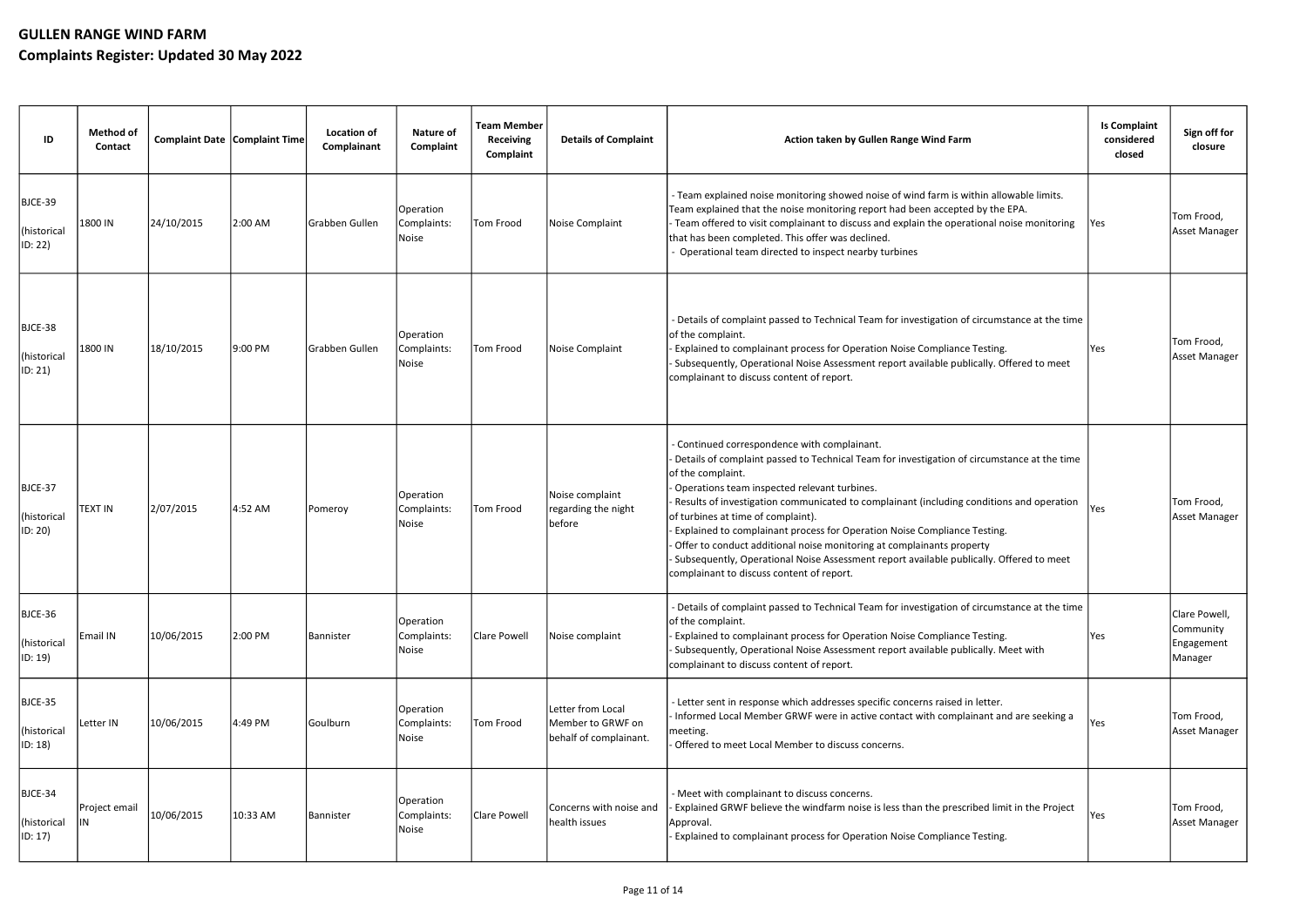| ID                                | <b>Method of</b><br>Contact | Complaint Date Complaint Time |          | <b>Location of</b><br>Complainant | <b>Nature of</b><br>Complaint     | <b>Team Member</b><br><b>Receiving</b><br>Complaint | <b>Details of Complaint</b>                                      | Action taken by Gullen Range Wind Farm                                                                                                                                                                                                                                                                                                                                                                                                                                                                                                                                                                                                          | <b>Is Complaint</b><br>considered<br>closed | Sign off for<br>closure                             |
|-----------------------------------|-----------------------------|-------------------------------|----------|-----------------------------------|-----------------------------------|-----------------------------------------------------|------------------------------------------------------------------|-------------------------------------------------------------------------------------------------------------------------------------------------------------------------------------------------------------------------------------------------------------------------------------------------------------------------------------------------------------------------------------------------------------------------------------------------------------------------------------------------------------------------------------------------------------------------------------------------------------------------------------------------|---------------------------------------------|-----------------------------------------------------|
| BJCE-39<br>(historical<br>ID: 22) | 1800 IN                     | 24/10/2015                    | 2:00 AM  | Grabben Gullen                    | Operation<br>Complaints:<br>Noise | Tom Frood                                           | Noise Complaint                                                  | - Team explained noise monitoring showed noise of wind farm is within allowable limits.<br>Team explained that the noise monitoring report had been accepted by the EPA.<br>Team offered to visit complainant to discuss and explain the operational noise monitoring<br>that has been completed. This offer was declined.<br>Operational team directed to inspect nearby turbines                                                                                                                                                                                                                                                              | Yes                                         | Tom Frood,<br><b>Asset Manager</b>                  |
| BJCE-38<br>(historical<br>ID: 21) | 1800 IN                     | 18/10/2015                    | 9:00 PM  | Grabben Gullen                    | Operation<br>Complaints:<br>Noise | Tom Frood                                           | Noise Complaint                                                  | - Details of complaint passed to Technical Team for investigation of circumstance at the time<br>of the complaint.<br>Explained to complainant process for Operation Noise Compliance Testing.<br>Subsequently, Operational Noise Assessment report available publically. Offered to meet<br>complainant to discuss content of report.                                                                                                                                                                                                                                                                                                          | Yes                                         | Tom Frood,<br><b>Asset Manager</b>                  |
| BJCE-37<br>(historical<br>ID: 20) | <b>TEXT IN</b>              | 2/07/2015                     | 4:52 AM  | Pomeroy                           | Operation<br>Complaints:<br>Noise | Tom Frood                                           | Noise complaint<br>regarding the night<br>before                 | - Continued correspondence with complainant.<br>Details of complaint passed to Technical Team for investigation of circumstance at the time<br>of the complaint.<br>Operations team inspected relevant turbines.<br>Results of investigation communicated to complainant (including conditions and operation<br>of turbines at time of complaint).<br>Explained to complainant process for Operation Noise Compliance Testing.<br>Offer to conduct additional noise monitoring at complainants property<br>Subsequently, Operational Noise Assessment report available publically. Offered to meet<br>complainant to discuss content of report. | Yes                                         | Tom Frood,<br>Asset Manager                         |
| BJCE-36<br>(historical<br>ID: 19) | Email IN                    | 10/06/2015                    | 2:00 PM  | Bannister                         | Operation<br>Complaints:<br>Noise | Clare Powell                                        | Noise complaint                                                  | - Details of complaint passed to Technical Team for investigation of circumstance at the time<br>of the complaint.<br>Explained to complainant process for Operation Noise Compliance Testing.<br>Subsequently, Operational Noise Assessment report available publically. Meet with<br>complainant to discuss content of report.                                                                                                                                                                                                                                                                                                                | Yes                                         | Clare Powell,<br>Community<br>Engagement<br>Manager |
| BJCE-35<br>(historical<br>ID: 18) | Letter IN                   | 10/06/2015                    | 4:49 PM  | Goulburn                          | Operation<br>Complaints:<br>Noise | Tom Frood                                           | Letter from Local<br>Member to GRWF on<br>behalf of complainant. | - Letter sent in response which addresses specific concerns raised in letter.<br>Informed Local Member GRWF were in active contact with complainant and are seeking a<br>meeting.<br>Offered to meet Local Member to discuss concerns.                                                                                                                                                                                                                                                                                                                                                                                                          | Yes                                         | Tom Frood,<br>Asset Manager                         |
| BJCE-34<br>(historical<br>ID: 17) | Project email               | 10/06/2015                    | 10:33 AM | Bannister                         | Operation<br>Complaints:<br>Noise | Clare Powell                                        | Concerns with noise and<br>health issues                         | - Meet with complainant to discuss concerns.<br>Explained GRWF believe the windfarm noise is less than the prescribed limit in the Project<br>Approval.<br>Explained to complainant process for Operation Noise Compliance Testing.                                                                                                                                                                                                                                                                                                                                                                                                             | Yes                                         | Tom Frood,<br>Asset Manager                         |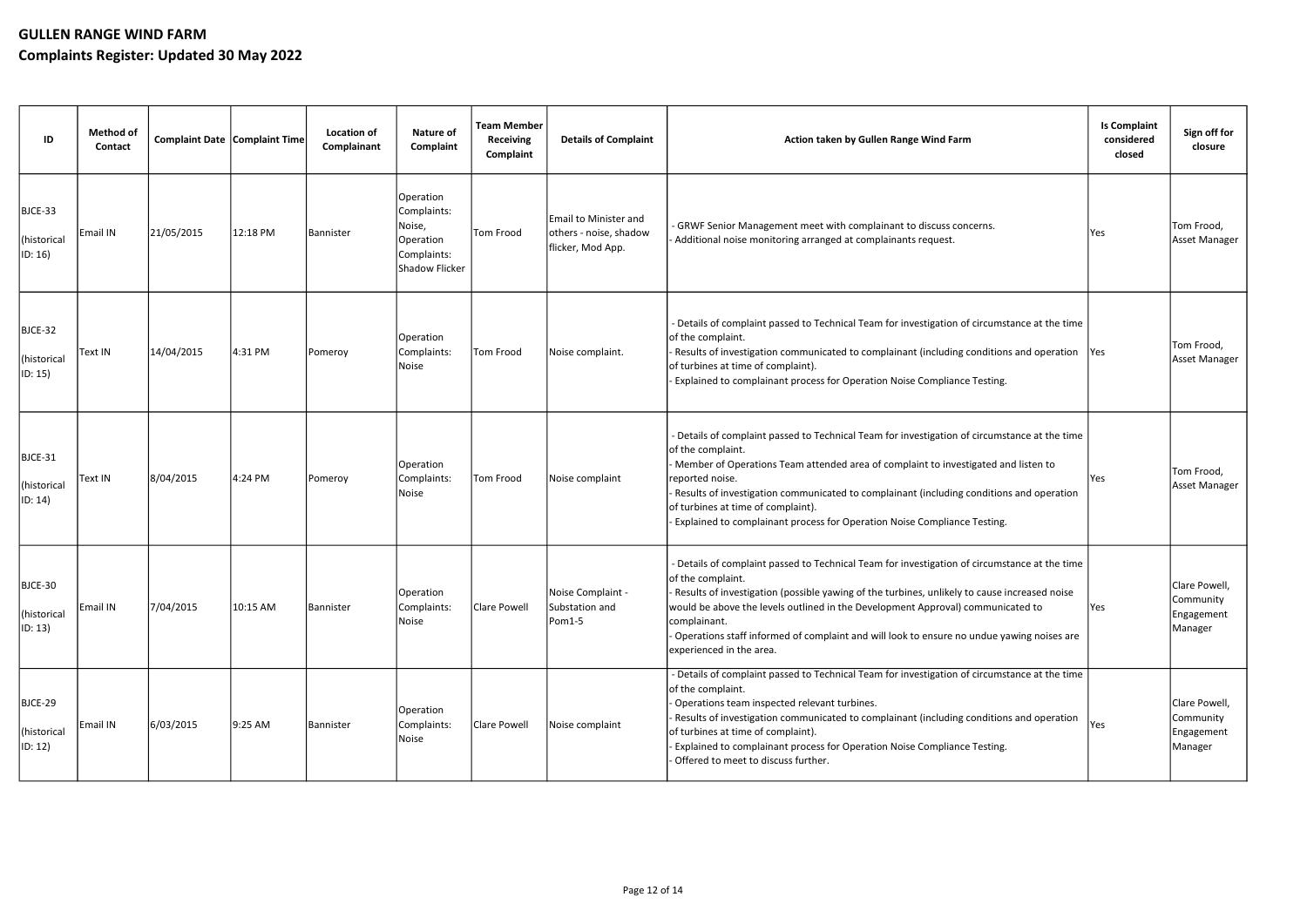| ID                                         | <b>Method of</b><br><b>Contact</b> |            | Complaint Date Complaint Time | <b>Location of</b><br>Complainant | <b>Nature of</b><br>Complaint                                                    | <b>Team Member</b><br><b>Receiving</b><br>Complaint | <b>Details of Complaint</b>                                          | Action taken by Gullen Range Wind Farm                                                                                                                                                                                                                                                                                                                                                                                                         | <b>Is Complaint</b><br>considered<br>closed | Sign off for<br>closure                             |
|--------------------------------------------|------------------------------------|------------|-------------------------------|-----------------------------------|----------------------------------------------------------------------------------|-----------------------------------------------------|----------------------------------------------------------------------|------------------------------------------------------------------------------------------------------------------------------------------------------------------------------------------------------------------------------------------------------------------------------------------------------------------------------------------------------------------------------------------------------------------------------------------------|---------------------------------------------|-----------------------------------------------------|
| BJCE-33<br>(historical<br>ID: 16)          | <b>Email IN</b>                    | 21/05/2015 | 12:18 PM                      | <b>Bannister</b>                  | Operation<br>Complaints:<br>Noise,<br>Operation<br>Complaints:<br>Shadow Flicker | Tom Frood                                           | Email to Minister and<br>others - noise, shadow<br>flicker, Mod App. | - GRWF Senior Management meet with complainant to discuss concerns.<br>- Additional noise monitoring arranged at complainants request.                                                                                                                                                                                                                                                                                                         | Yes                                         | Tom Frood,<br>Asset Manager                         |
| BJCE-32<br>(historical<br>$ ID: 15\rangle$ | Text IN                            | 14/04/2015 | 4:31 PM                       | Pomeroy                           | Operation<br>Complaints:<br>Noise                                                | Tom Frood                                           | Noise complaint.                                                     | - Details of complaint passed to Technical Team for investigation of circumstance at the time<br>of the complaint.<br>Results of investigation communicated to complainant (including conditions and operation<br>of turbines at time of complaint).<br>Explained to complainant process for Operation Noise Compliance Testing.                                                                                                               | Yes                                         | Tom Frood,<br>Asset Manager                         |
| BJCE-31<br>(historical<br>ID: 14)          | Text IN                            | 8/04/2015  | 4:24 PM                       | Pomeroy                           | Operation<br>Complaints:<br>Noise                                                | Tom Frood                                           | Noise complaint                                                      | - Details of complaint passed to Technical Team for investigation of circumstance at the time<br>of the complaint.<br>Member of Operations Team attended area of complaint to investigated and listen to<br>reported noise.<br>Results of investigation communicated to complainant (including conditions and operation<br>of turbines at time of complaint).<br>Explained to complainant process for Operation Noise Compliance Testing.      | Yes                                         | Tom Frood,<br>Asset Manager                         |
| BJCE-30<br>(historical<br>ID: 13)          | Email IN                           | 7/04/2015  | 10:15 AM                      | Bannister                         | Operation<br>Complaints:<br>Noise                                                | Clare Powell                                        | Noise Complaint -<br>Substation and<br>Pom1-5                        | - Details of complaint passed to Technical Team for investigation of circumstance at the time<br>of the complaint.<br>Results of investigation (possible yawing of the turbines, unlikely to cause increased noise<br>would be above the levels outlined in the Development Approval) communicated to<br>complainant.<br>Operations staff informed of complaint and will look to ensure no undue yawing noises are<br>experienced in the area. | Yes                                         | Clare Powell,<br>Community<br>Engagement<br>Manager |
| BJCE-29<br>(historical<br>$ ID: 12\rangle$ | Email IN                           | 6/03/2015  | 9:25 AM                       | Bannister                         | Operation<br>Complaints:<br>Noise                                                | Clare Powell                                        | Noise complaint                                                      | - Details of complaint passed to Technical Team for investigation of circumstance at the time<br>of the complaint.<br>- Operations team inspected relevant turbines.<br>Results of investigation communicated to complainant (including conditions and operation<br>of turbines at time of complaint).<br>Explained to complainant process for Operation Noise Compliance Testing.<br>- Offered to meet to discuss further.                    | Yes                                         | Clare Powell,<br>Community<br>Engagement<br>Manager |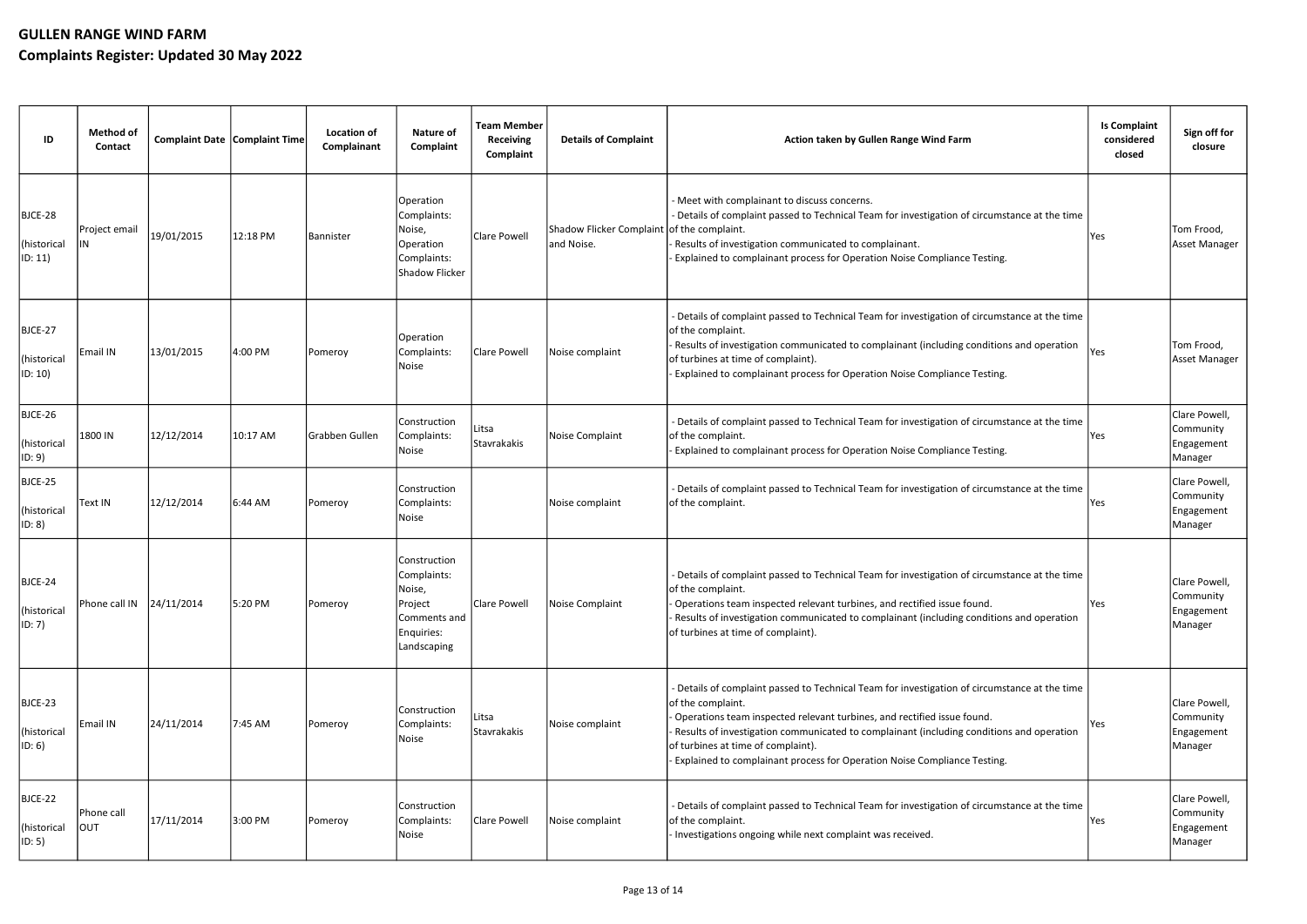| ID                                         | <b>Method of</b><br>Contact                        | <b>Complaint Date   Complaint Time </b> |          | <b>Location of</b><br>Complainant | <b>Nature of</b><br>Complaint                                                                   | <b>Team Member</b><br><b>Receiving</b><br>Complaint | <b>Details of Complaint</b>                              | Action taken by Gullen Range Wind Farm                                                                                                                                                                                                                                                                                                                                                                      | <b>Is Complaint</b><br>considered<br>closed | Sign off for<br>closure                             |
|--------------------------------------------|----------------------------------------------------|-----------------------------------------|----------|-----------------------------------|-------------------------------------------------------------------------------------------------|-----------------------------------------------------|----------------------------------------------------------|-------------------------------------------------------------------------------------------------------------------------------------------------------------------------------------------------------------------------------------------------------------------------------------------------------------------------------------------------------------------------------------------------------------|---------------------------------------------|-----------------------------------------------------|
| BJCE-28<br>(historical<br>$ ID: 11\rangle$ | Project email                                      | 19/01/2015                              | 12:18 PM | Bannister                         | Operation<br>Complaints:<br>Noise,<br>Operation<br>Complaints:<br>Shadow Flicker                | Clare Powell                                        | Shadow Flicker Complaint of the complaint.<br>and Noise. | - Meet with complainant to discuss concerns.<br>- Details of complaint passed to Technical Team for investigation of circumstance at the time<br>Results of investigation communicated to complainant.<br>Explained to complainant process for Operation Noise Compliance Testing.                                                                                                                          | Yes                                         | Tom Frood,<br><b>Asset Manager</b>                  |
| BJCE-27<br>(historical<br>ID: 10)          | Email IN                                           | 13/01/2015                              | 4:00 PM  | Pomeroy                           | Operation<br>Complaints:<br>Noise                                                               | Clare Powell                                        | Noise complaint                                          | - Details of complaint passed to Technical Team for investigation of circumstance at the time<br>of the complaint.<br>Results of investigation communicated to complainant (including conditions and operation<br>of turbines at time of complaint).<br>Explained to complainant process for Operation Noise Compliance Testing.                                                                            | Yes                                         | Tom Frood,<br>Asset Manager                         |
| BJCE-26<br>(historical<br> ID: 9           | 1800 IN                                            | 12/12/2014                              | 10:17 AM | Grabben Gullen                    | Construction<br>Complaints:<br>Noise                                                            | Litsa<br>Stavrakakis                                | Noise Complaint                                          | - Details of complaint passed to Technical Team for investigation of circumstance at the time<br>of the complaint.<br>Explained to complainant process for Operation Noise Compliance Testing.                                                                                                                                                                                                              | Yes                                         | Clare Powell,<br>Community<br>Engagement<br>Manager |
| BJCE-25<br>(historical<br> ID: 8           | Text IN                                            | 12/12/2014                              | 6:44 AM  | Pomeroy                           | Construction<br>Complaints:<br>Noise                                                            |                                                     | Noise complaint                                          | - Details of complaint passed to Technical Team for investigation of circumstance at the time<br>of the complaint.                                                                                                                                                                                                                                                                                          | Yes                                         | Clare Powell<br>Community<br>Engagement<br>Manager  |
| BJCE-24<br>(historical<br>$ ID: 7\rangle$  | Phone call IN $\left  \frac{24}{11}{\right }$ 2014 |                                         | 5:20 PM  | Pomeroy                           | lConstruction<br>Complaints:<br>Noise,<br>Project<br>lComments and<br>Enquiries:<br>Landscaping | Clare Powell                                        | Noise Complaint                                          | - Details of complaint passed to Technical Team for investigation of circumstance at the time<br>of the complaint.<br>Operations team inspected relevant turbines, and rectified issue found.<br>Results of investigation communicated to complainant (including conditions and operation<br>of turbines at time of complaint).                                                                             | Yes                                         | Clare Powell,<br>Community<br>Engagement<br>Manager |
| BJCE-23<br>(historical<br> ID: 6           | Email IN                                           | 24/11/2014                              | 7:45 AM  | Pomeroy                           | Construction<br>Complaints:<br>Noise                                                            | Litsa<br>Stavrakakis                                | Noise complaint                                          | - Details of complaint passed to Technical Team for investigation of circumstance at the time<br>of the complaint.<br>Operations team inspected relevant turbines, and rectified issue found.<br>Results of investigation communicated to complainant (including conditions and operation<br>of turbines at time of complaint).<br>Explained to complainant process for Operation Noise Compliance Testing. | Yes                                         | Clare Powell,<br>Community<br>Engagement<br>Manager |
| BJCE-22<br>(historical<br> ID: 5           | Phone call<br>Ιουτ                                 | 17/11/2014                              | 3:00 PM  | Pomeroy                           | Construction<br>Complaints:<br>Noise                                                            | Clare Powell                                        | Noise complaint                                          | - Details of complaint passed to Technical Team for investigation of circumstance at the time<br>of the complaint.<br>Investigations ongoing while next complaint was received.                                                                                                                                                                                                                             | Yes                                         | Clare Powell,<br>Community<br>Engagement<br>Manager |